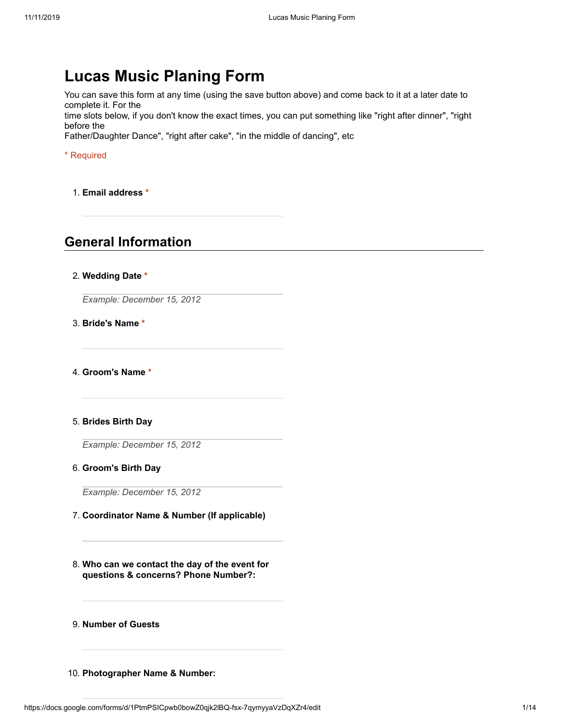# **Lucas Music Planing Form**

You can save this form at any time (using the save button above) and come back to it at a later date to complete it. For the

time slots below, if you don't know the exact times, you can put something like "right after dinner", "right before the

Father/Daughter Dance", "right after cake", "in the middle of dancing", etc

\* Required

1. **Email address \***

## **General Information**

#### 2. **Wedding Date \***

*Example: December 15, 2012*

3. **Bride's Name \***

4. **Groom's Name \***

## 5. **Brides Birth Day**

*Example: December 15, 2012*

#### 6. **Groom's Birth Day**

*Example: December 15, 2012*

- 7. **Coordinator Name & Number (If applicable)**
- 8. **Who can we contact the day of the event for questions & concerns? Phone Number?:**
- 9. **Number of Guests**
- 10. **Photographer Name & Number:**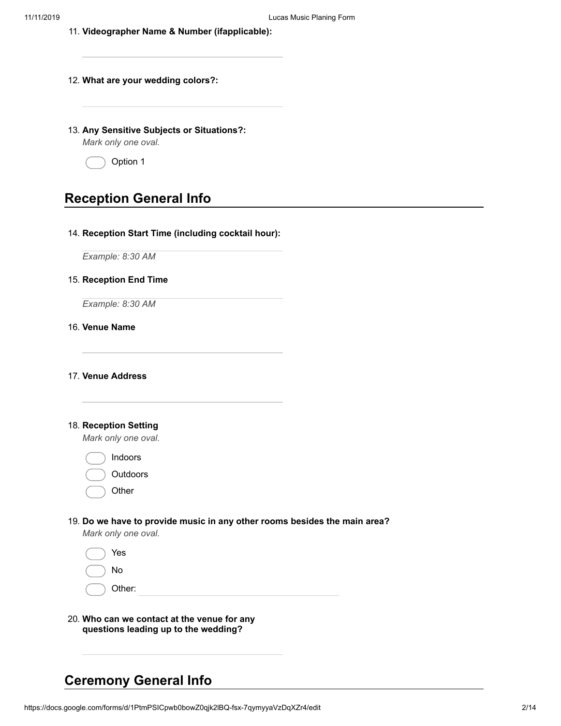- 11. **Videographer Name & Number (ifapplicable):**
- 12. **What are your wedding colors?:**
- 13. **Any Sensitive Subjects or Situations?:**

*Mark only one oval.*



## **Reception General Info**

#### 14. **Reception Start Time (including cocktail hour):**

*Example: 8:30 AM*

#### 15. **Reception End Time**

*Example: 8:30 AM*

## 16. **Venue Name**

17. **Venue Address**

#### 18. **Reception Setting**

*Mark only one oval.*

Indoors

| Outdoors |
|----------|
|          |

**Other** 

## 19. **Do we have to provide music in any other rooms besides the main area?**

*Mark only one oval.*

| Yes    |
|--------|
| No     |
| Other: |
|        |

20. **Who can we contact at the venue for any questions leading up to the wedding?**

# **Ceremony General Info**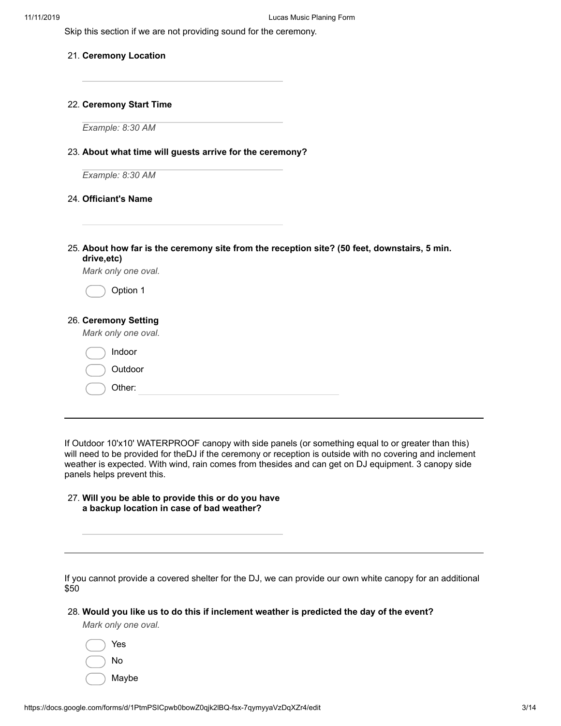Skip this section if we are not providing sound for the ceremony.

#### 21. **Ceremony Location**

#### 22. **Ceremony Start Time**

*Example: 8:30 AM*

#### 23. **About what time will guests arrive for the ceremony?**

*Example: 8:30 AM*

#### 24. **Officiant's Name**

25. **About how far is the ceremony site from the reception site? (50 feet, downstairs, 5 min. drive,etc)**

*Mark only one oval.*

Option 1

## 26. **Ceremony Setting**

*Mark only one oval.*

| Indoor  |
|---------|
| Outdoor |
| Other:  |
|         |

If Outdoor 10'x10' WATERPROOF canopy with side panels (or something equal to or greater than this) will need to be provided for theDJ if the ceremony or reception is outside with no covering and inclement weather is expected. With wind, rain comes from thesides and can get on DJ equipment. 3 canopy side panels helps prevent this.

| 27. Will you be able to provide this or do you have |  |
|-----------------------------------------------------|--|
| a backup location in case of bad weather?           |  |

If you cannot provide a covered shelter for the DJ, we can provide our own white canopy for an additional \$50

#### 28. **Would you like us to do this if inclement weather is predicted the day of the event?**

*Mark only one oval.*

| Yes   |
|-------|
| No    |
| Maybe |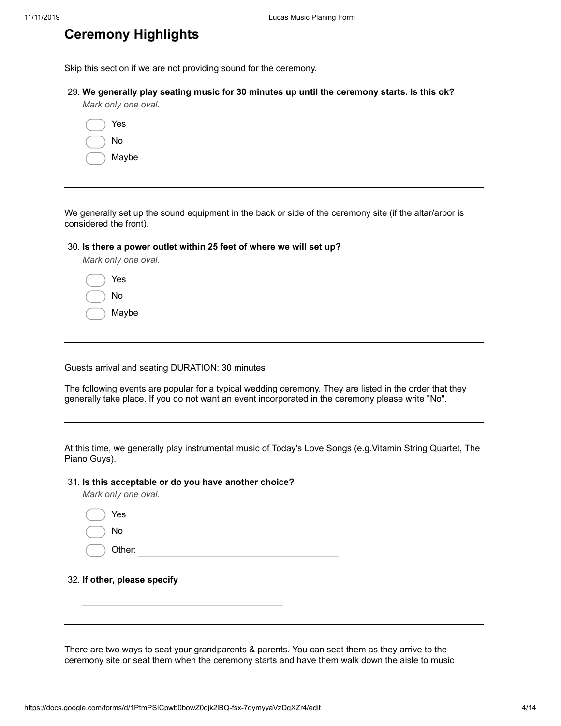## **Ceremony Highlights**

Skip this section if we are not providing sound for the ceremony.

29. **We generally play seating music for 30 minutes up until the ceremony starts. Is this ok?** *Mark only one oval.*

| Yes   |
|-------|
| N٥    |
| Maybe |

We generally set up the sound equipment in the back or side of the ceremony site (if the altar/arbor is considered the front).

#### 30. **Is there a power outlet within 25 feet of where we will set up?**

*Mark only one oval.*

| Yes   |
|-------|
| No    |
| Maybe |

Guests arrival and seating DURATION: 30 minutes

The following events are popular for a typical wedding ceremony. They are listed in the order that they generally take place. If you do not want an event incorporated in the ceremony please write "No".

At this time, we generally play instrumental music of Today's Love Songs (e.g. Vitamin String Quartet, The Piano Guys).

#### 31. **Is this acceptable or do you have another choice?**

*Mark only one oval.*

| Yes<br>$\qquad \qquad$ |  |  |
|------------------------|--|--|
| $($ $)$ No             |  |  |
| $($ $)$ Other:         |  |  |

32. **If other, please specify**

There are two ways to seat your grandparents & parents. You can seat them as they arrive to the ceremony site or seat them when the ceremony starts and have them walk down the aisle to music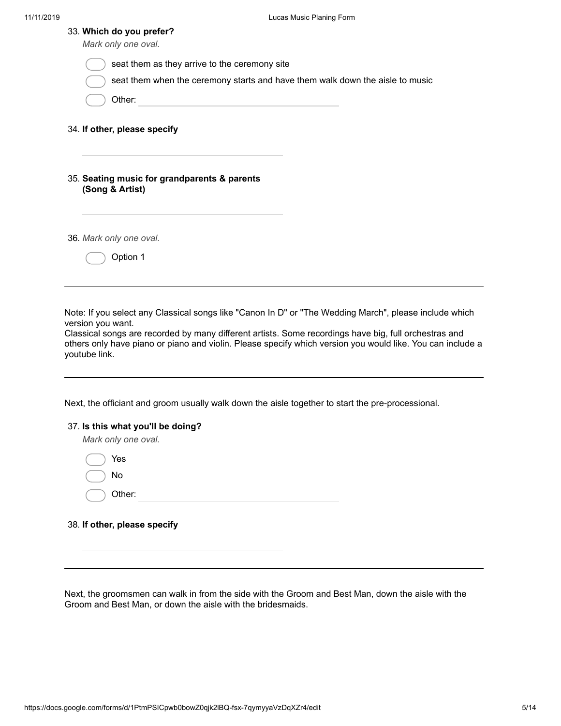| 33. Which do you prefer?<br>Mark only one oval.                                                                             |  |
|-----------------------------------------------------------------------------------------------------------------------------|--|
| seat them as they arrive to the ceremony site                                                                               |  |
| seat them when the ceremony starts and have them walk down the aisle to music                                               |  |
| Other:<br>the control of the control of the control of the control of                                                       |  |
| 34. If other, please specify                                                                                                |  |
| 35. Seating music for grandparents & parents<br>(Song & Artist)                                                             |  |
| 36. Mark only one oval.                                                                                                     |  |
| Option 1                                                                                                                    |  |
|                                                                                                                             |  |
| Note: If you select any Classical songs like "Canon In D" or "The Wedding March", please include which<br>version you want. |  |

Classical songs are recorded by many different artists. Some recordings have big, full orchestras and others only have piano or piano and violin. Please specify which version you would like. You can include a youtube link.

Next, the officiant and groom usually walk down the aisle together to start the pre-processional.

| 37. Is this what you'll be doing? |  |
|-----------------------------------|--|
| Mark only one oval.               |  |
| Yes                               |  |
| No                                |  |
| Other:                            |  |
|                                   |  |

38. **If other, please specify**

Next, the groomsmen can walk in from the side with the Groom and Best Man, down the aisle with the Groom and Best Man, or down the aisle with the bridesmaids.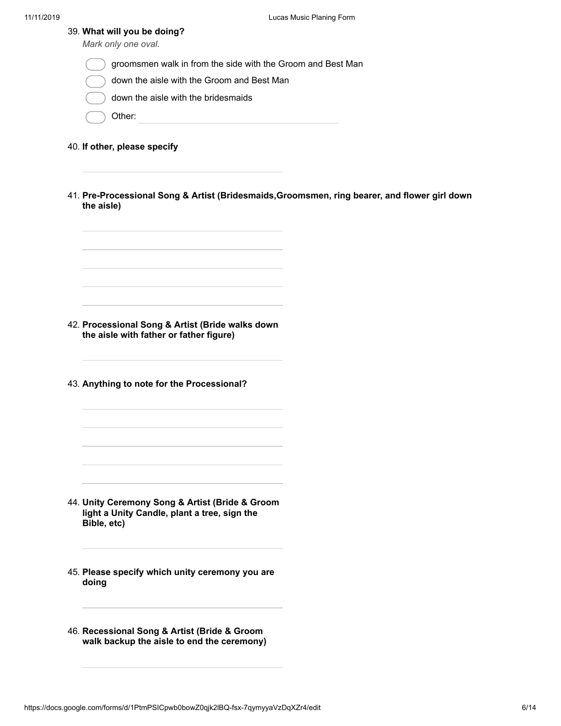| 39. What will you be doing? |  |  |
|-----------------------------|--|--|
| Mark only one oval.         |  |  |

- groomsmen walk in from the side with the Groom and Best Man
- down the aisle with the Groom and Best Man
- down the aisle with the bridesmaids
- Other:
- 40. **If other, please specify**
- 41. **Pre -Processional Song & Artist (Bridesmaids,Groomsmen, ring bearer, and flower girl down the aisle)**

42. **Processional Song & Artist (Bride walks down the aisle with father or father figure)**

43. **Anything to note for the Processional?**

- 44. **Unity Ceremony Song & Artist (Bride & Groom light a Unity Candle, plant a tree, sign the Bible, etc)**
- 45. **Please specify which unity ceremony you are doing**
- 46. **Recessional Song & Artist (Bride & Groom walk backup the aisle to end the ceremony)**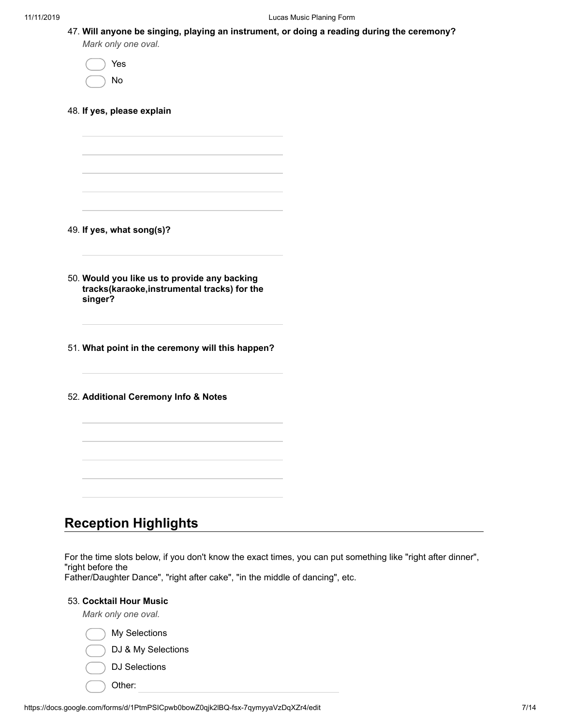| 47. Will anyone be singing, playing an instrument, or doing a reading during the ceremony? |  |  |
|--------------------------------------------------------------------------------------------|--|--|
| Mark only one oval.                                                                        |  |  |

Yes No

48. **If yes, please explain**

49. **If yes, what song(s)?**

50. **Would you like us to provide any backing tracks(karaoke,instrumental tracks) for the singer?**

51. **What point in the ceremony will this happen?**

52. **Additional Ceremony Info & Notes**

# **Reception Highlights**

For the time slots below, if you don't know the exact times, you can put something like "right after dinner", "right before the

Father/Daughter Dance", "right after cake", "in the middle of dancing", etc.

## 53. **Cocktail Hour Music**

*Mark only one oval.*

My Selections

DJ & My Selections

- DJ Selections
- Other: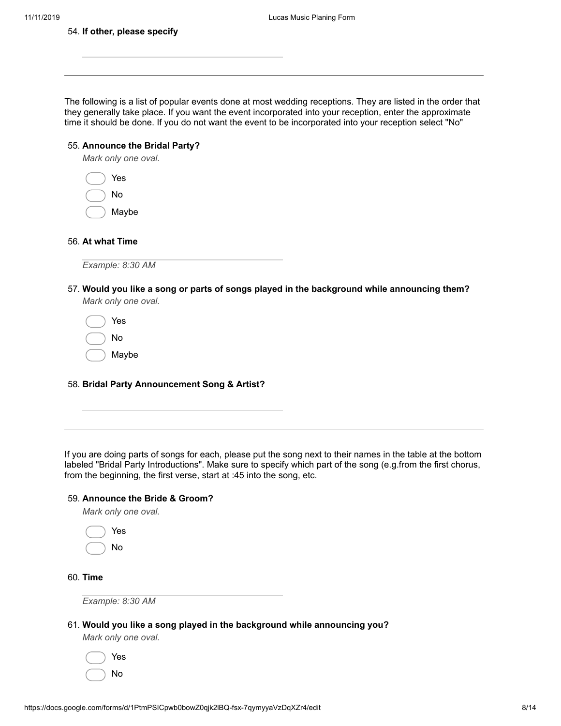| 54. If other, please specify                                          |                                                                                                                                                                                                                                                                                                                                     |
|-----------------------------------------------------------------------|-------------------------------------------------------------------------------------------------------------------------------------------------------------------------------------------------------------------------------------------------------------------------------------------------------------------------------------|
|                                                                       |                                                                                                                                                                                                                                                                                                                                     |
|                                                                       |                                                                                                                                                                                                                                                                                                                                     |
|                                                                       | The following is a list of popular events done at most wedding receptions. They are listed in the order that<br>they generally take place. If you want the event incorporated into your reception, enter the approximate<br>time it should be done. If you do not want the event to be incorporated into your reception select "No" |
| 55. Announce the Bridal Party?<br>Mark only one oval.                 |                                                                                                                                                                                                                                                                                                                                     |
| Yes                                                                   |                                                                                                                                                                                                                                                                                                                                     |
| No                                                                    |                                                                                                                                                                                                                                                                                                                                     |
| Maybe                                                                 |                                                                                                                                                                                                                                                                                                                                     |
| 56. At what Time                                                      |                                                                                                                                                                                                                                                                                                                                     |
| Example: 8:30 AM                                                      |                                                                                                                                                                                                                                                                                                                                     |
|                                                                       | 57. Would you like a song or parts of songs played in the background while announcing them?                                                                                                                                                                                                                                         |
| Mark only one oval.                                                   |                                                                                                                                                                                                                                                                                                                                     |
| Yes                                                                   |                                                                                                                                                                                                                                                                                                                                     |
| No                                                                    |                                                                                                                                                                                                                                                                                                                                     |
| Maybe                                                                 |                                                                                                                                                                                                                                                                                                                                     |
|                                                                       |                                                                                                                                                                                                                                                                                                                                     |
| 58. Bridal Party Announcement Song & Artist?                          |                                                                                                                                                                                                                                                                                                                                     |
|                                                                       |                                                                                                                                                                                                                                                                                                                                     |
|                                                                       |                                                                                                                                                                                                                                                                                                                                     |
| from the beginning, the first verse, start at :45 into the song, etc. | If you are doing parts of songs for each, please put the song next to their names in the table at the bottom<br>labeled "Bridal Party Introductions". Make sure to specify which part of the song (e.g.from the first chorus,                                                                                                       |
| 59. Announce the Bride & Groom?                                       |                                                                                                                                                                                                                                                                                                                                     |
| Mark only one oval.                                                   |                                                                                                                                                                                                                                                                                                                                     |
| Yes                                                                   |                                                                                                                                                                                                                                                                                                                                     |
| No                                                                    |                                                                                                                                                                                                                                                                                                                                     |
| 60. Time                                                              |                                                                                                                                                                                                                                                                                                                                     |
| Example: 8:30 AM                                                      |                                                                                                                                                                                                                                                                                                                                     |
| Mark only one oval.                                                   | 61. Would you like a song played in the background while announcing you?                                                                                                                                                                                                                                                            |
| Yes                                                                   |                                                                                                                                                                                                                                                                                                                                     |
|                                                                       |                                                                                                                                                                                                                                                                                                                                     |

No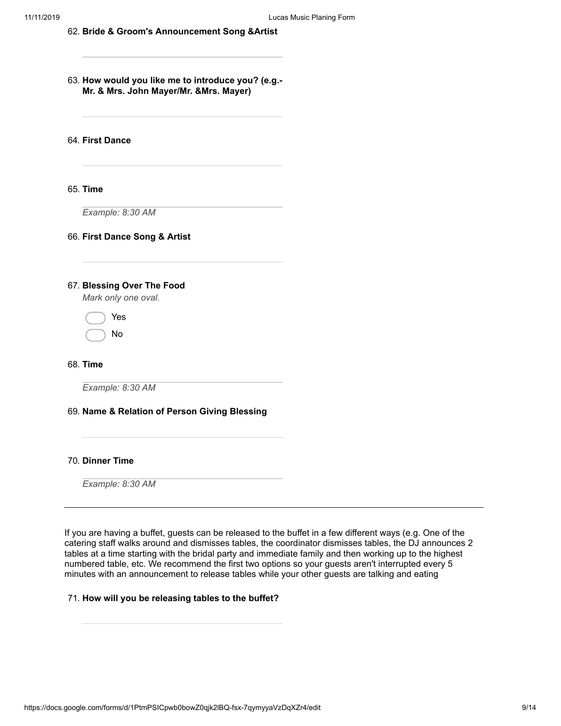- 62. **Bride & Groom's Announcement Song &Artist**
- 63. **How would you like me to introduce you? (e.g. - Mr. & Mrs. John Mayer/Mr. &Mrs. Mayer)**

64. **First Dance**

#### 65. **Time**

*Example: 8:30 AM*

#### 66. **First Dance Song & Artist**

#### 67. **Blessing Over The Food**

*Mark only one oval.*

Yes No

68. **Time**

*Example: 8:30 AM*

#### 69. **Name & Relation of Person Giving Blessing**

70. **Dinner Time**

*Example: 8:30 AM*

If you are having a buffet, guests can be released to the buffet in a few different ways (e.g. One of the catering staff walks around and dismisses tables, the coordinator dismisses tables, the DJ announces 2 tables at a time starting with the bridal party and immediate family and then working up to the highest numbered table, etc. We recommend the first two options so your guests aren't interrupted every 5 minutes with an announcement to release tables while your other guests are talking and eating

#### 71. **How will you be releasing tables to the buffet?**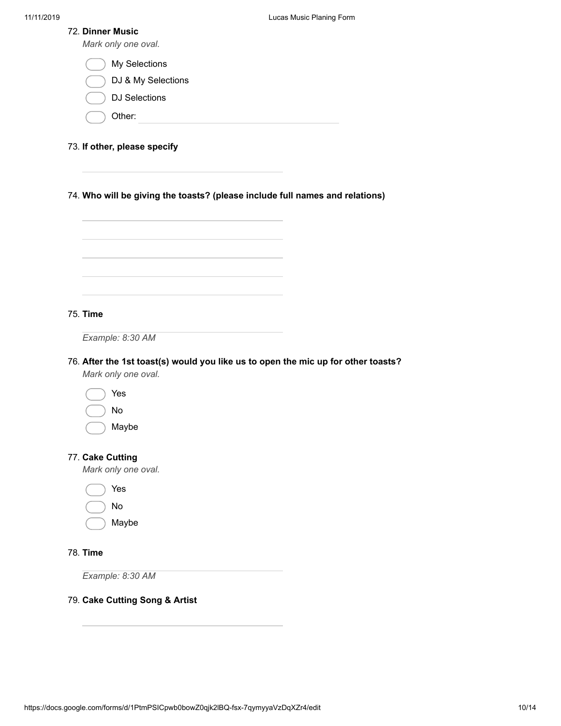|  |  | 72. Dinner Music |  |
|--|--|------------------|--|
|--|--|------------------|--|

| 72. Dinner Music<br>Mark only one oval.                                                                  |
|----------------------------------------------------------------------------------------------------------|
| My Selections                                                                                            |
| DJ & My Selections                                                                                       |
| <b>DJ Selections</b>                                                                                     |
| Other:                                                                                                   |
| 73. If other, please specify                                                                             |
| 74. Who will be giving the toasts? (please include full names and relations)                             |
|                                                                                                          |
| 75. Time<br>Example: 8:30 AM                                                                             |
| 76. After the 1st toast(s) would you like us to open the mic up for other toasts?<br>Mark only one oval. |
| Yes                                                                                                      |
| No                                                                                                       |
| Maybe                                                                                                    |
| 77. Cake Cutting<br>Mark only one oval.                                                                  |
| Yes                                                                                                      |
| No                                                                                                       |
| Maybe                                                                                                    |
| 78. Time                                                                                                 |
| Example: 8:30 AM                                                                                         |
| 79. Cake Cutting Song & Artist                                                                           |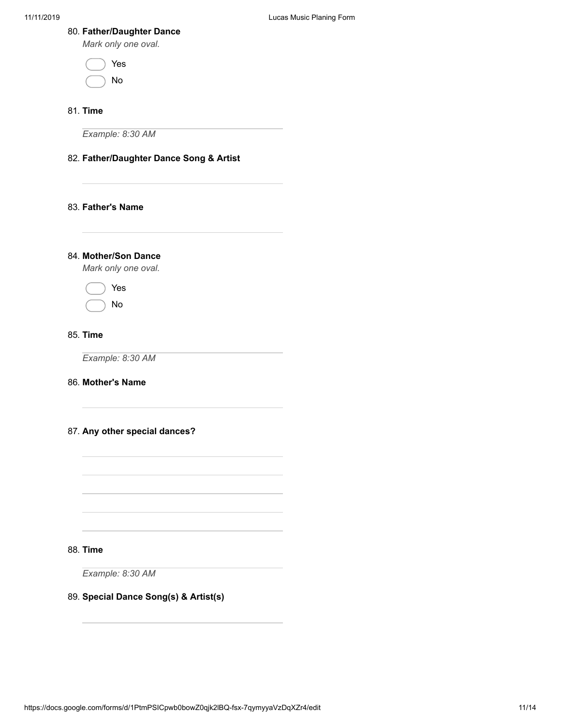## 80. **Father/Daughter Dance**

*Mark only one oval.*

| Yes |
|-----|
| Nο  |

## 81. **Time**

*Example: 8:30 AM*

## 82. **Father/Daughter Dance Song & Artist**

## 83. **Father's Name**

84. **Mother/Son Dance** *Mark only one oval.*

Yes

No

## 85. **Time**

*Example: 8:30 AM*

#### 86. **Mother's Name**

#### 87. **Any other special dances?**

88. **Time**

*Example: 8:30 AM*

## 89. **Special Dance Song(s) & Artist(s)**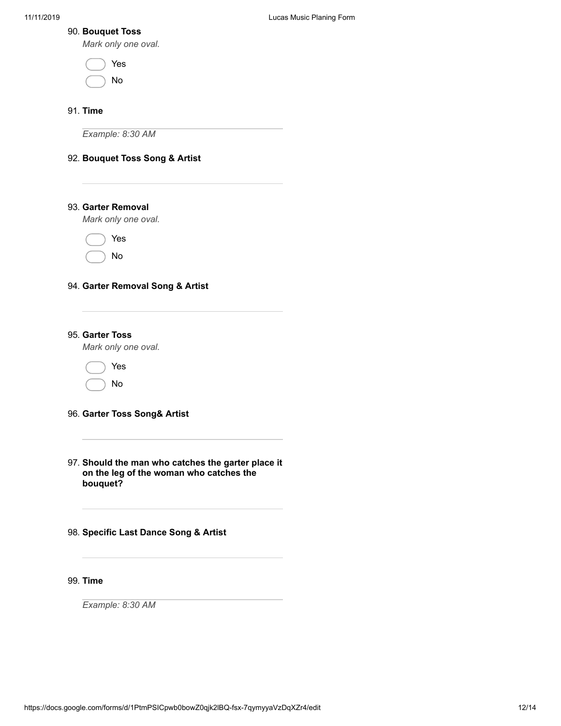## 90. **Bouquet Toss**

*Mark only one oval.*

|  | Yes |
|--|-----|
|  | N٥  |

## 91. **Time**

*Example: 8:30 AM*

## 92. **Bouquet Toss Song & Artist**

## 93. **Garter Removal**

*Mark only one oval.*

Yes No

## 94. **Garter Removal Song & Artist**

95. **Garter Toss**

*Mark only one oval.*

Yes

No

## 96. **Garter Toss Song& Artist**

- 97. **Should the man who catches the garter place it on the leg of the woman who catches the bouquet?**
- 98. **Specific Last Dance Song & Artist**

99. **Time**

*Example: 8:30 AM*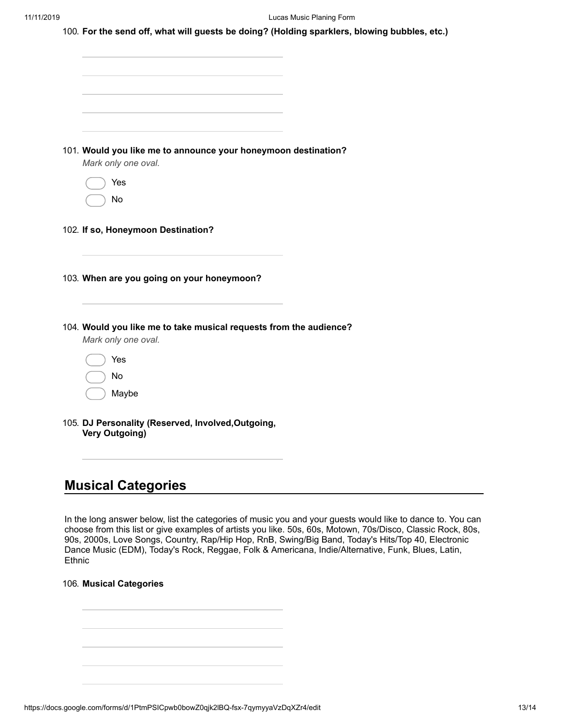| 100. For the send off, what will guests be doing? (Holding sparklers, blowing bubbles, etc.) |  |  |
|----------------------------------------------------------------------------------------------|--|--|
|                                                                                              |  |  |

| 105. DJ Personality (Reserved, Involved, Outgoing,<br><b>Very Outgoing)</b>               |  |
|-------------------------------------------------------------------------------------------|--|
| Maybe                                                                                     |  |
| No                                                                                        |  |
| Yes                                                                                       |  |
| 104. Would you like me to take musical requests from the audience?<br>Mark only one oval. |  |
| 103. When are you going on your honeymoon?                                                |  |
| 102. If so, Honeymoon Destination?                                                        |  |
| No                                                                                        |  |
| Yes                                                                                       |  |
| 101. Would you like me to announce your honeymoon destination?<br>Mark only one oval.     |  |
|                                                                                           |  |
|                                                                                           |  |
|                                                                                           |  |

In the long answer below, list the categories of music you and your guests would like to dance to. You can choose from this list or give examples of artists you like. 50s, 60s, Motown, 70s/Disco, Classic Rock, 80s, 90s, 2000s, Love Songs, Country, Rap/Hip Hop, RnB, Swing/Big Band, Today's Hits/Top 40, Electronic Dance Music (EDM), Today's Rock, Reggae, Folk & Americana, Indie/Alternative, Funk, Blues, Latin, Ethnic

106. **Musical Categories**

https://docs.google.com/forms/d/1PtmPSICpwb0bowZ0qjk2lBQ-fsx-7qymyyaVzDqXZr4/edit 13/14